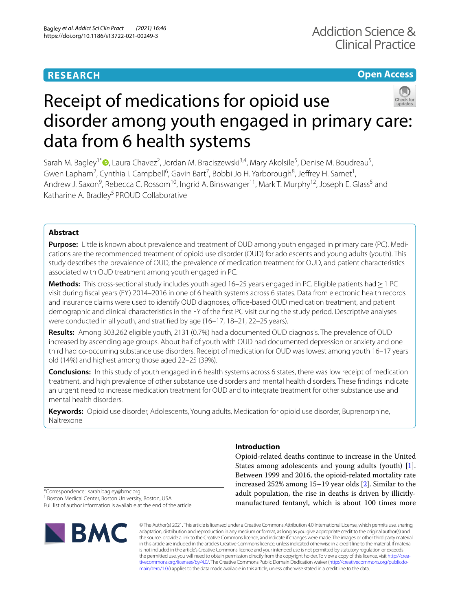# **RESEARCH**

**Open Access**

# Receipt of medications for opioid use disorder among youth engaged in primary care: data from 6 health systems

Sarah M. Bagley<sup>1[\\*](http://orcid.org/0000-0002-7524-0178)</sup><sup>®</sup>, Laura Chavez<sup>2</sup>, Jordan M. Braciszewski<sup>3,4</sup>, Mary Akolsile<sup>5</sup>, Denise M. Boudreau<sup>5</sup>, Gwen Lapham<sup>2</sup>, Cynthia I. Campbell<sup>6</sup>, Gavin Bart<sup>7</sup>, Bobbi Jo H. Yarborough<sup>8</sup>, Jeffrey H. Samet<sup>1</sup>, Andrew J. Saxon<sup>9</sup>, Rebecca C. Rossom<sup>10</sup>, Ingrid A. Binswanger<sup>11</sup>, Mark T. Murphy<sup>12</sup>, Joseph E. Glass<sup>5</sup> and Katharine A. Bradley<sup>5</sup> PROUD Collaborative

## **Abstract**

**Purpose:** Little is known about prevalence and treatment of OUD among youth engaged in primary care (PC). Medications are the recommended treatment of opioid use disorder (OUD) for adolescents and young adults (youth). This study describes the prevalence of OUD, the prevalence of medication treatment for OUD, and patient characteristics associated with OUD treatment among youth engaged in PC.

**Methods:** This cross-sectional study includes youth aged 16–25 years engaged in PC. Eligible patients had≥1 PC visit during fscal years (FY) 2014–2016 in one of 6 health systems across 6 states. Data from electronic health records and insurance claims were used to identify OUD diagnoses, office-based OUD medication treatment, and patient demographic and clinical characteristics in the FY of the frst PC visit during the study period. Descriptive analyses were conducted in all youth, and stratifed by age (16–17, 18–21, 22–25 years).

**Results:** Among 303,262 eligible youth, 2131 (0.7%) had a documented OUD diagnosis. The prevalence of OUD increased by ascending age groups. About half of youth with OUD had documented depression or anxiety and one third had co-occurring substance use disorders. Receipt of medication for OUD was lowest among youth 16–17 years old (14%) and highest among those aged 22–25 (39%).

**Conclusions:** In this study of youth engaged in 6 health systems across 6 states, there was low receipt of medication treatment, and high prevalence of other substance use disorders and mental health disorders. These fndings indicate an urgent need to increase medication treatment for OUD and to integrate treatment for other substance use and mental health disorders.

**Keywords:** Opioid use disorder, Adolescents, Young adults, Medication for opioid use disorder, Buprenorphine, Naltrexone

## **Introduction**

Opioid-related deaths continue to increase in the United States among adolescents and young adults (youth) [\[1](#page-7-0)]. Between 1999 and 2016, the opioid-related mortality rate increased 252% among 15–19 year olds [\[2](#page-7-1)]. Similar to the adult population, the rise in deaths is driven by illicitlymanufactured fentanyl, which is about 100 times more

\*Correspondence: sarah.bagley@bmc.org

<sup>1</sup> Boston Medical Center, Boston University, Boston, USA

Full list of author information is available at the end of the article



© The Author(s) 2021. This article is licensed under a Creative Commons Attribution 4.0 International License, which permits use, sharing, adaptation, distribution and reproduction in any medium or format, as long as you give appropriate credit to the original author(s) and the source, provide a link to the Creative Commons licence, and indicate if changes were made. The images or other third party material in this article are included in the article's Creative Commons licence, unless indicated otherwise in a credit line to the material. If material is not included in the article's Creative Commons licence and your intended use is not permitted by statutory regulation or exceeds the permitted use, you will need to obtain permission directly from the copyright holder. To view a copy of this licence, visit [http://crea](http://creativecommons.org/licenses/by/4.0/)[tivecommons.org/licenses/by/4.0/.](http://creativecommons.org/licenses/by/4.0/) The Creative Commons Public Domain Dedication waiver ([http://creativecommons.org/publicdo](http://creativecommons.org/publicdomain/zero/1.0/)[main/zero/1.0/\)](http://creativecommons.org/publicdomain/zero/1.0/) applies to the data made available in this article, unless otherwise stated in a credit line to the data.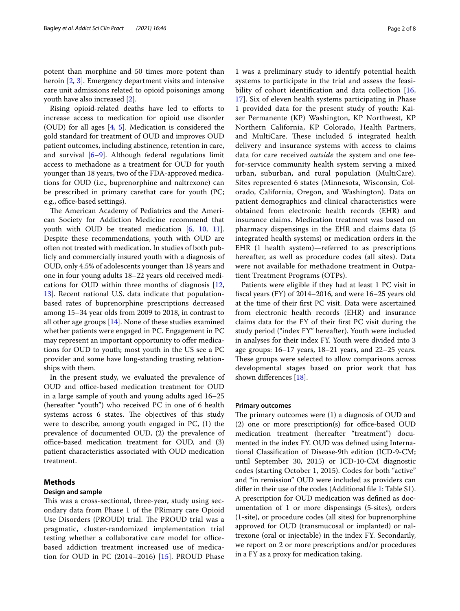potent than morphine and 50 times more potent than heroin [[2](#page-7-1), [3](#page-7-2)]. Emergency department visits and intensive care unit admissions related to opioid poisonings among youth have also increased [[2](#page-7-1)].

Rising opioid-related deaths have led to eforts to increase access to medication for opioid use disorder (OUD) for all ages [[4,](#page-7-3) [5\]](#page-7-4). Medication is considered the gold standard for treatment of OUD and improves OUD patient outcomes, including abstinence, retention in care, and survival [\[6](#page-7-5)[–9](#page-7-6)]. Although federal regulations limit access to methadone as a treatment for OUD for youth younger than 18 years, two of the FDA-approved medications for OUD (i.e., buprenorphine and naltrexone) can be prescribed in primary carethat care for youth (PC; e.g., office-based settings).

The American Academy of Pediatrics and the American Society for Addiction Medicine recommend that youth with OUD be treated medication [\[6](#page-7-5), [10](#page-7-7), [11](#page-7-8)]. Despite these recommendations, youth with OUD are often not treated with medication. In studies of both publicly and commercially insured youth with a diagnosis of OUD, only 4.5% of adolescents younger than 18 years and one in four young adults 18–22 years old received medications for OUD within three months of diagnosis [\[12](#page-7-9), [13\]](#page-7-10). Recent national U.S. data indicate that populationbased rates of buprenorphine prescriptions decreased among 15–34 year olds from 2009 to 2018, in contrast to all other age groups [[14\]](#page-7-11). None of these studies examined whether patients were engaged in PC. Engagement in PC may represent an important opportunity to offer medications for OUD to youth; most youth in the US see a PC provider and some have long-standing trusting relationships with them.

In the present study, we evaluated the prevalence of OUD and office-based medication treatment for OUD in a large sample of youth and young adults aged 16–25 (hereafter "youth") who received PC in one of 6 health systems across 6 states. The objectives of this study were to describe, among youth engaged in PC, (1) the prevalence of documented OUD, (2) the prevalence of office-based medication treatment for OUD, and (3) patient characteristics associated with OUD medication treatment.

#### **Methods**

## **Design and sample**

This was a cross-sectional, three-year, study using secondary data from Phase 1 of the PRimary care Opioid Use Disorders (PROUD) trial. The PROUD trial was a pragmatic, cluster-randomized implementation trial testing whether a collaborative care model for officebased addiction treatment increased use of medication for OUD in PC (2014–2016) [[15\]](#page-7-12). PROUD Phase

1 was a preliminary study to identify potential health systems to participate in the trial and assess the feasi-bility of cohort identification and data collection [\[16](#page-7-13), [17\]](#page-7-14). Six of eleven health systems participating in Phase 1 provided data for the present study of youth: Kaiser Permanente (KP) Washington, KP Northwest, KP Northern California, KP Colorado, Health Partners, and MultiCare. These included 5 integrated health delivery and insurance systems with access to claims data for care received *outside* the system and one feefor-service community health system serving a mixed urban, suburban, and rural population (MultiCare). Sites represented 6 states (Minnesota, Wisconsin, Colorado, California, Oregon, and Washington). Data on patient demographics and clinical characteristics were obtained from electronic health records (EHR) and insurance claims. Medication treatment was based on pharmacy dispensings in the EHR and claims data (5 integrated health systems) or medication orders in the EHR (1 health system)—referred to as prescriptions hereafter, as well as procedure codes (all sites). Data were not available for methadone treatment in Outpatient Treatment Programs (OTPs).

Patients were eligible if they had at least 1 PC visit in fscal years (FY) of 2014–2016, and were 16–25 years old at the time of their frst PC visit. Data were ascertained from electronic health records (EHR) and insurance claims data for the FY of their frst PC visit during the study period ("index FY" hereafter). Youth were included in analyses for their index FY. Youth were divided into 3 age groups: 16–17 years, 18–21 years, and 22–25 years. These groups were selected to allow comparisons across developmental stages based on prior work that has shown diferences [[18](#page-7-15)].

## **Primary outcomes**

The primary outcomes were  $(1)$  a diagnosis of OUD and  $(2)$  one or more prescription(s) for office-based OUD medication treatment (hereafter "treatment") documented in the index FY. OUD was defned using International Classifcation of Disease-9th edition (ICD-9-CM; until September 30, 2015) or ICD-10-CM diagnostic codes (starting October 1, 2015). Codes for both "active" and "in remission" OUD were included as providers can difer in their use of the codes (Additional fle [1:](#page-6-0) Table S1). A prescription for OUD medication was defned as documentation of 1 or more dispensings (5-sites), orders (1-site), or procedure codes (all sites) for buprenorphine approved for OUD (transmucosal or implanted) or naltrexone (oral or injectable) in the index FY. Secondarily, we report on 2 or more prescriptions and/or procedures in a FY as a proxy for medication taking.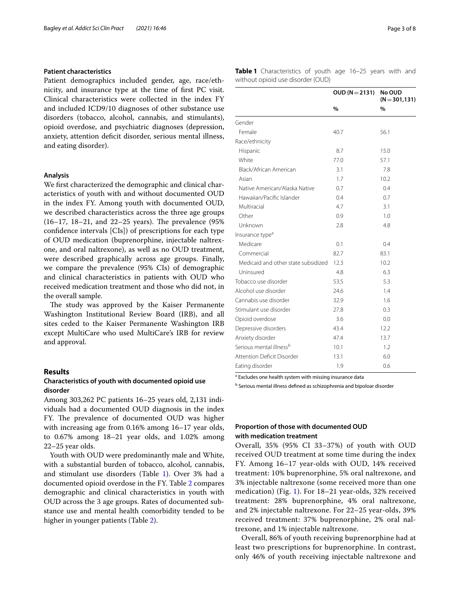## **Patient characteristics**

Patient demographics included gender, age, race/ethnicity, and insurance type at the time of frst PC visit. Clinical characteristics were collected in the index FY and included ICD9/10 diagnoses of other substance use disorders (tobacco, alcohol, cannabis, and stimulants), opioid overdose, and psychiatric diagnoses (depression, anxiety, attention defcit disorder, serious mental illness, and eating disorder).

### **Analysis**

We frst characterized the demographic and clinical characteristics of youth with and without documented OUD in the index FY. Among youth with documented OUD, we described characteristics across the three age groups  $(16–17, 18–21,$  and 22–25 years). The prevalence  $(95%$ confdence intervals [CIs]) of prescriptions for each type of OUD medication (buprenorphine, injectable naltrexone, and oral naltrexone), as well as no OUD treatment, were described graphically across age groups. Finally, we compare the prevalence (95% CIs) of demographic and clinical characteristics in patients with OUD who received medication treatment and those who did not, in the overall sample.

The study was approved by the Kaiser Permanente Washington Institutional Review Board (IRB), and all sites ceded to the Kaiser Permanente Washington IRB except MultiCare who used MultiCare's IRB for review and approval.

## **Results**

## **Characteristics of youth with documented opioid use disorder**

Among 303,262 PC patients 16–25 years old, 2,131 individuals had a documented OUD diagnosis in the index FY. The prevalence of documented OUD was higher with increasing age from 0.16% among 16–17 year olds, to 0.67% among 18–21 year olds, and 1.02% among 22–25 year olds.

Youth with OUD were predominantly male and White, with a substantial burden of tobacco, alcohol, cannabis, and stimulant use disorders (Table [1](#page-2-0)). Over 3% had a documented opioid overdose in the FY. Table [2](#page-3-0) compares demographic and clinical characteristics in youth with OUD across the 3 age groups. Rates of documented substance use and mental health comorbidity tended to be higher in younger patients (Table [2](#page-3-0)).

<span id="page-2-0"></span>**Table 1** Characteristics of youth age 16–25 years with and without opioid use disorder (OUD)

|                                     | $OUD (N = 2131)$ | No OUD<br>$(N = 301, 131)$ |
|-------------------------------------|------------------|----------------------------|
|                                     | %                | %                          |
| Gender                              |                  |                            |
| Female                              | 40.7             | 56.1                       |
| Race/ethnicity                      |                  |                            |
| Hispanic                            | 8.7              | 15.0                       |
| White                               | 77.0             | 57.1                       |
| Black/African American              | 3.1              | 7.8                        |
| Asian                               | 1.7              | 10.2                       |
| Native American/Alaska Native       | 0.7              | 0.4                        |
| Hawaiian/Pacific Islander           | 0.4              | 0.7                        |
| Multiracial                         | 4.7              | 3.1                        |
| Other                               | 0.9              | 1.0                        |
| Unknown                             | 2.8              | 4.8                        |
| Insurance type <sup>a</sup>         |                  |                            |
| Medicare                            | 0.1              | 0.4                        |
| Commercial                          | 82.7             | 83.1                       |
| Medicaid and other state subsidized | 12.3             | 10.2                       |
| Uninsured                           | 4.8              | 6.3                        |
| Tobacco use disorder                | 53.5             | 5.3                        |
| Alcohol use disorder                | 24.6             | 1.4                        |
| Cannabis use disorder               | 32.9             | 1.6                        |
| Stimulant use disorder              | 27.8             | 0.3                        |
| Opioid overdose                     | 3.6              | 0.0                        |
| Depressive disorders                | 43.4             | 12.2                       |
| Anxiety disorder                    | 47.4             | 13.7                       |
| Serious mental illness <sup>b</sup> | 10.1             | 1.2                        |
| Attention Deficit Disorder          | 13.1             | 6.0                        |
| Eating disorder                     | 1.9              | 0.6                        |

<sup>a</sup> Excludes one health system with missing insurance data

**b** Serious mental illness defined as schizophrenia and bipoloar disorder

## **Proportion of those with documented OUD with medication treatment**

Overall, 35% (95% CI 33–37%) of youth with OUD received OUD treatment at some time during the index FY. Among 16–17 year-olds with OUD, 14% received treatment: 10% buprenorphine, 5% oral naltrexone, and 3% injectable naltrexone (some received more than one medication) (Fig. [1\)](#page-4-0). For 18–21 year-olds, 32% received treatment: 28% buprenorphine, 4% oral naltrexone, and 2% injectable naltrexone. For 22–25 year-olds, 39% received treatment: 37% buprenorphine, 2% oral naltrexone, and 1% injectable naltrexone.

Overall, 86% of youth receiving buprenorphine had at least two prescriptions for buprenorphine. In contrast, only 46% of youth receiving injectable naltrexone and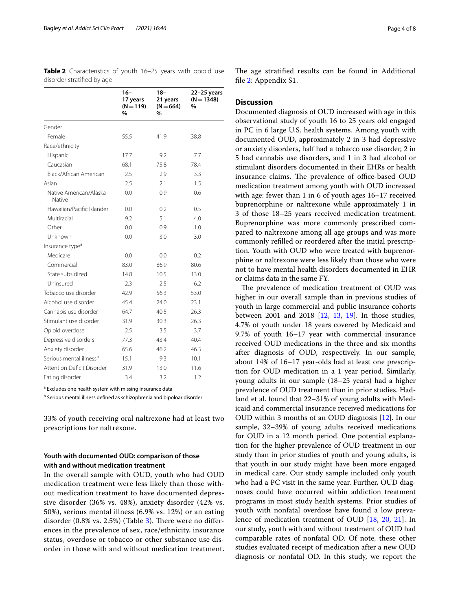|                                     | $16-$<br>17 years<br>$(N = 119)$<br>% | 18–<br>21 years<br>$(N = 664)$<br>% | 22-25 years<br>$(N = 1348)$<br>% |  |
|-------------------------------------|---------------------------------------|-------------------------------------|----------------------------------|--|
| Gender                              |                                       |                                     |                                  |  |
| Female                              | 55.5                                  | 41.9                                | 38.8                             |  |
| Race/ethnicity                      |                                       |                                     |                                  |  |
| Hispanic                            | 17.7                                  | 9.2                                 | 7.7                              |  |
| Caucasian                           | 68.1                                  | 75.8                                | 78.4                             |  |
| Black/African American              | 2.5                                   | 2.9                                 | 3.3                              |  |
| Asian                               | 2.5                                   | 2.1                                 | 1.5                              |  |
| Native American/Alaska<br>Native    | 0.0                                   | 0.9                                 | 0.6                              |  |
| Hawaiian/Pacific Islander           | 0.0                                   | 0.2                                 | 0.5                              |  |
| Multiracial                         | 9.2                                   | 5.1                                 | 4.0                              |  |
| Other                               | 0.0                                   | 0.9                                 | 1.0                              |  |
| Unknown                             | 0.0                                   | 3.0                                 | 3.0                              |  |
| Insurance type <sup>a</sup>         |                                       |                                     |                                  |  |
| Medicare                            | 0.0                                   | 0.0                                 | 0.2                              |  |
| Commercial                          | 83.0                                  | 86.9                                | 80.6                             |  |
| State subsidized                    | 14.8                                  | 10.5                                | 13.0                             |  |
| Uninsured                           | 2.3                                   | 2.5                                 | 6.2                              |  |
| Tobacco use disorder                | 42.9                                  | 56.3                                | 53.0                             |  |
| Alcohol use disorder                | 45.4                                  | 24.0                                | 23.1                             |  |
| Cannabis use disorder               | 64.7                                  | 40.5                                | 26.3                             |  |
| Stimulant use disorder              | 31.9                                  | 30.3                                | 26.3                             |  |
| Opioid overdose                     | 2.5                                   | 3.5                                 | 3.7                              |  |
| Depressive disorders                | 77.3                                  | 43.4                                | 40.4                             |  |
| Anxiety disorder                    | 65.6                                  | 46.2                                | 46.3                             |  |
| Serious mental illness <sup>b</sup> | 15.1                                  | 9.3                                 | 10.1                             |  |
| Attention Deficit Disorder          | 31.9                                  | 13.0                                | 11.6                             |  |
| Eating disorder                     | 3.4                                   | 3.2                                 | 1.2                              |  |

<span id="page-3-0"></span>**Table 2** Characteristics of youth 16–25 years with opioid use disorder stratifed by age

<sup>a</sup> Excludes one health system with missing insurance data

<sup>b</sup> Serious mental illness defined as schizophrenia and bipoloar disorder

33% of youth receiving oral naltrexone had at least two prescriptions for naltrexone.

## **Youth with documented OUD: comparison of those with and without medication treatment**

In the overall sample with OUD, youth who had OUD medication treatment were less likely than those without medication treatment to have documented depressive disorder (36% vs. 48%), anxiety disorder (42% vs. 50%), serious mental illness (6.9% vs. 12%) or an eating disorder  $(0.8\% \text{ vs. } 2.5\%)$  (Table [3](#page-5-0)). There were no differences in the prevalence of sex, race/ethnicity, insurance status, overdose or tobacco or other substance use disorder in those with and without medication treatment.

The age stratified results can be found in Additional fle [2](#page-6-1): Appendix S1.

## **Discussion**

Documented diagnosis of OUD increased with age in this observational study of youth 16 to 25 years old engaged in PC in 6 large U.S. health systems. Among youth with documented OUD, approximately 2 in 3 had depressive or anxiety disorders, half had a tobacco use disorder, 2 in 5 had cannabis use disorders, and 1 in 3 had alcohol or stimulant disorders documented in their EHRs or health insurance claims. The prevalence of office-based OUD medication treatment among youth with OUD increased with age: fewer than 1 in 6 of youth ages 16–17 received buprenorphine or naltrexone while approximately 1 in 3 of those 18–25 years received medication treatment. Buprenorphine was more commonly prescribed compared to naltrexone among all age groups and was more commonly reflled or reordered after the initial prescription. Youth with OUD who were treated with buprenorphine or naltrexone were less likely than those who were not to have mental health disorders documented in EHR or claims data in the same FY.

The prevalence of medication treatment of OUD was higher in our overall sample than in previous studies of youth in large commercial and public insurance cohorts between 2001 and 2018 [[12,](#page-7-9) [13](#page-7-10), [19\]](#page-7-16). In those studies, 4.7% of youth under 18 years covered by Medicaid and 9.7% of youth 16–17 year with commercial insurance received OUD medications in the three and six months after diagnosis of OUD, respectively. In our sample, about 14% of 16–17 year-olds had at least one prescription for OUD medication in a 1 year period. Similarly, young adults in our sample (18–25 years) had a higher prevalence of OUD treatment than in prior studies. Hadland et al. found that 22–31% of young adults with Medicaid and commercial insurance received medications for OUD within 3 months of an OUD diagnosis [\[12](#page-7-9)]. In our sample, 32–39% of young adults received medications for OUD in a 12 month period. One potential explanation for the higher prevalence of OUD treatment in our study than in prior studies of youth and young adults, is that youth in our study might have been more engaged in medical care. Our study sample included only youth who had a PC visit in the same year. Further, OUD diagnoses could have occurred within addiction treatment programs in most study health systems. Prior studies of youth with nonfatal overdose have found a low prevalence of medication treatment of OUD [\[18](#page-7-15), [20](#page-7-17), [21](#page-7-18)]. In our study, youth with and without treatment of OUD had comparable rates of nonfatal OD. Of note, these other studies evaluated receipt of medication after a new OUD diagnosis or nonfatal OD. In this study, we report the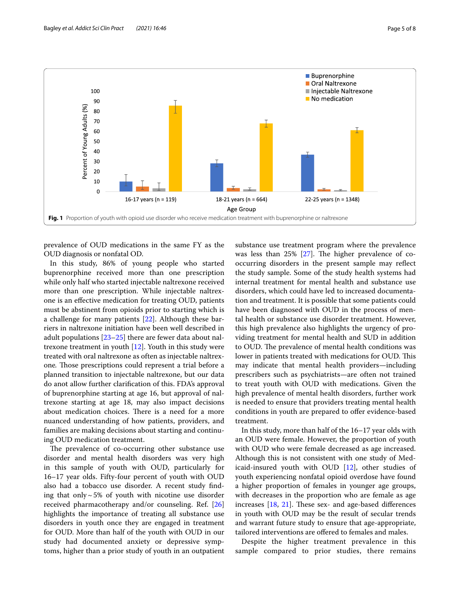

<span id="page-4-0"></span>prevalence of OUD medications in the same FY as the OUD diagnosis or nonfatal OD.

In this study, 86% of young people who started buprenorphine received more than one prescription while only half who started injectable naltrexone received more than one prescription. While injectable naltrexone is an efective medication for treating OUD, patients must be abstinent from opioids prior to starting which is a challenge for many patients [[22](#page-7-19)]. Although these barriers in naltrexone initiation have been well described in adult populations  $[23-25]$  $[23-25]$  there are fewer data about naltrexone treatment in youth [\[12](#page-7-9)]. Youth in this study were treated with oral naltrexone as often as injectable naltrexone. Those prescriptions could represent a trial before a planned transition to injectable naltrexone, but our data do anot allow further clarifcation of this. FDA's approval of buprenorphine starting at age 16, but approval of naltrexone starting at age 18, may also impact decisions about medication choices. There is a need for a more nuanced understanding of how patients, providers, and families are making decisions about starting and continuing OUD medication treatment.

The prevalence of co-occurring other substance use disorder and mental health disorders was very high in this sample of youth with OUD, particularly for 16–17 year olds. Fifty-four percent of youth with OUD also had a tobacco use disorder. A recent study fnding that only  $\sim$  5% of youth with nicotine use disorder received pharmacotherapy and/or counseling. Ref. [[26](#page-7-22)] highlights the importance of treating all substance use disorders in youth once they are engaged in treatment for OUD. More than half of the youth with OUD in our study had documented anxiety or depressive symptoms, higher than a prior study of youth in an outpatient substance use treatment program where the prevalence was less than  $25\%$  [\[27](#page-7-23)]. The higher prevalence of cooccurring disorders in the present sample may refect the study sample. Some of the study health systems had internal treatment for mental health and substance use disorders, which could have led to increased documentation and treatment. It is possible that some patients could have been diagnosed with OUD in the process of mental health or substance use disorder treatment. However, this high prevalence also highlights the urgency of providing treatment for mental health and SUD in addition to OUD. The prevalence of mental health conditions was lower in patients treated with medications for OUD. This may indicate that mental health providers—including prescribers such as psychiatrists—are often not trained to treat youth with OUD with medications. Given the high prevalence of mental health disorders, further work is needed to ensure that providers treating mental health conditions in youth are prepared to offer evidence-based treatment.

In this study, more than half of the 16–17 year olds with an OUD were female. However, the proportion of youth with OUD who were female decreased as age increased. Although this is not consistent with one study of Medicaid-insured youth with OUD [\[12\]](#page-7-9), other studies of youth experiencing nonfatal opioid overdose have found a higher proportion of females in younger age groups, with decreases in the proportion who are female as age increases  $[18, 21]$  $[18, 21]$  $[18, 21]$ . These sex- and age-based differences in youth with OUD may be the result of secular trends and warrant future study to ensure that age-appropriate, tailored interventions are ofered to females and males.

Despite the higher treatment prevalence in this sample compared to prior studies, there remains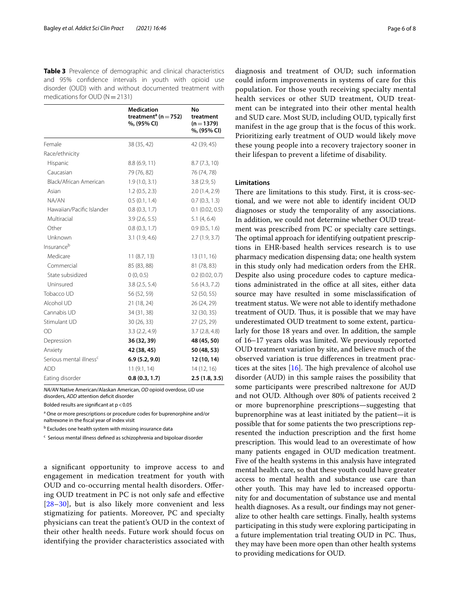<span id="page-5-0"></span>**Table 3** Prevalence of demographic and clinical characteristics and 95% confdence intervals in youth with opioid use disorder (OUD) with and without documented treatment with medications for OUD ( $N=2131$ )

|                                     | Medication<br>treatment <sup>a</sup> (n = 752)<br>%, (95% CI) | No<br>treatment<br>$(n=1379)$<br>%, (95% CI) |
|-------------------------------------|---------------------------------------------------------------|----------------------------------------------|
| Female                              | 38 (35, 42)                                                   | 42 (39, 45)                                  |
| Race/ethnicity                      |                                                               |                                              |
| Hispanic                            | 8.8 (6.9, 11)                                                 | 8.7(7.3, 10)                                 |
| Caucasian                           | 79 (76, 82)                                                   | 76 (74, 78)                                  |
| Black/African American              | 1.9(1.0, 3.1)                                                 | 3.8(2.9, 5)                                  |
| Asian                               | 1.2(0.5, 2.3)                                                 | 2.0(1.4, 2.9)                                |
| NA/AN                               | 0.5(0.1, 1.4)                                                 | 0.7(0.3, 1.3)                                |
| Hawaiian/Pacific Islander           | 0.8(0.3, 1.7)                                                 | 0.1(0.02, 0.5)                               |
| Multiracial                         | 3.9(2.6, 5.5)                                                 | 5.1(4, 6.4)                                  |
| Other                               | 0.8(0.3, 1.7)                                                 | 0.9(0.5, 1.6)                                |
| Unknown                             | 3.1(1.9, 4.6)                                                 | 2.7(1.9, 3.7)                                |
| Insuranceb                          |                                                               |                                              |
| Medicare                            | 11 (8.7, 13)                                                  | 13(11, 16)                                   |
| Commercial                          | 85 (83, 88)                                                   | 81 (78, 83)                                  |
| State subsidized                    | 0(0, 0.5)                                                     | 0.2(0.02, 0.7)                               |
| Uninsured                           | 3.8(2.5, 5.4)                                                 | 5.6(4.3, 7.2)                                |
| Tobacco UD                          | 56 (52, 59)                                                   | 52 (50, 55)                                  |
| Alcohol UD                          | 21 (18, 24)                                                   | 26 (24, 29)                                  |
| Cannabis UD                         | 34 (31, 38)                                                   | 32 (30, 35)                                  |
| Stimulant UD                        | 30 (26, 33)                                                   | 27 (25, 29)                                  |
| OD                                  | 3.3(2.2, 4.9)                                                 | 3.7(2.8, 4.8)                                |
| Depression                          | 36 (32, 39)                                                   | 48 (45, 50)                                  |
| Anxiety                             | 42 (38, 45)                                                   | 50 (48, 53)                                  |
| Serious mental illness <sup>c</sup> | 6.9(5.2, 9.0)                                                 | 12 (10, 14)                                  |
| <b>ADD</b>                          | 11(9.1, 14)                                                   | 14(12, 16)                                   |
| Eating disorder                     | 0.8(0.3, 1.7)                                                 | 2.5(1.8, 3.5)                                |

*NA/AN* Native American/Alaskan American, *OD* opioid overdose, *UD* use disorders, *ADD* attention deficit disorder

Bolded results are significant at p < 0.05

<sup>a</sup> One or more prescriptions or procedure codes for buprenorphine and/or naltrexone in the fscal year of index visit

**b** Excludes one health system with missing insurance data

<sup>c</sup> Serious mental illness defined as schizophrenia and bipoloar disorder

a signifcant opportunity to improve access to and engagement in medication treatment for youth with OUD and co-occurring mental health disorders. Ofering OUD treatment in PC is not only safe and efective [[28](#page-7-24)[–30](#page-7-25)], but is also likely more convenient and less stigmatizing for patients. Moreover, PC and specialty physicians can treat the patient's OUD in the context of their other health needs. Future work should focus on identifying the provider characteristics associated with

diagnosis and treatment of OUD; such information could inform improvements in systems of care for this population. For those youth receiving specialty mental health services or other SUD treatment, OUD treatment can be integrated into their other mental health and SUD care. Most SUD, including OUD, typically frst manifest in the age group that is the focus of this work. Prioritizing early treatment of OUD would likely move these young people into a recovery trajectory sooner in their lifespan to prevent a lifetime of disability.

## **Limitations**

There are limitations to this study. First, it is cross-sectional, and we were not able to identify incident OUD diagnoses or study the temporality of any associations. In addition, we could not determine whether OUD treatment was prescribed from PC or specialty care settings. The optimal approach for identifying outpatient prescriptions in EHR-based health services research is to use pharmacy medication dispensing data; one health system in this study only had medication orders from the EHR. Despite also using procedure codes to capture medications administrated in the office at all sites, either data source may have resulted in some misclassifcation of treatment status. We were not able to identify methadone treatment of OUD. Thus, it is possible that we may have underestimated OUD treatment to some extent, particularly for those 18 years and over. In addition, the sample of 16–17 years olds was limited. We previously reported OUD treatment variation by site, and believe much of the observed variation is true diferences in treatment practices at the sites  $[16]$  $[16]$ . The high prevalence of alcohol use disorder (AUD) in this sample raises the possibility that some participants were prescribed naltrexone for AUD and not OUD. Although over 80% of patients received 2 or more buprenorphine prescriptions—suggesting that buprenorphine was at least initiated by the patient—it is possible that for some patients the two prescriptions represented the induction prescription and the frst home prescription. This would lead to an overestimate of how many patients engaged in OUD medication treatment. Five of the health systems in this analysis have integrated mental health care, so that these youth could have greater access to mental health and substance use care than other youth. This may have led to increased opportunity for and documentation of substance use and mental health diagnoses. As a result, our findings may not generalize to other health care settings. Finally, health systems participating in this study were exploring participating in a future implementation trial treating OUD in PC. Thus, they may have been more open than other health systems to providing medications for OUD.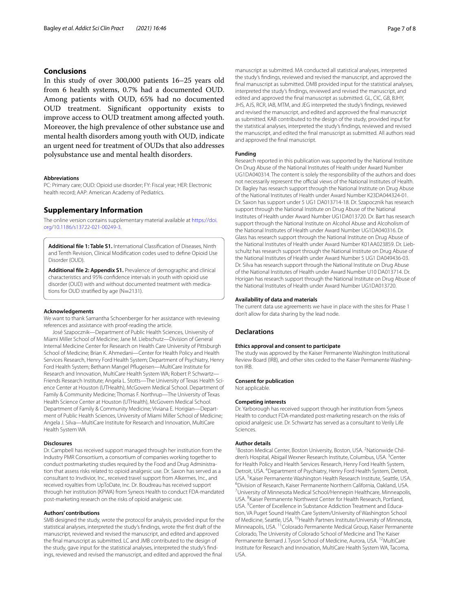## **Conclusions**

In this study of over 300,000 patients 16–25 years old from 6 health systems, 0.7% had a documented OUD. Among patients with OUD, 65% had no documented OUD treatment. Signifcant opportunity exists to improve access to OUD treatment among afected youth. Moreover, the high prevalence of other substance use and mental health disorders among youth with OUD, indicate an urgent need for treatment of OUDs that also addresses polysubstance use and mental health disorders.

#### **Abbreviations**

PC: Primary care; OUD: Opioid use disorder; FY: Fiscal year; HER: Electronic health record; AAP: American Academy of Pediatrics.

## **Supplementary Information**

The online version contains supplementary material available at [https://doi.](https://doi.org/10.1186/s13722-021-00249-3) [org/10.1186/s13722-021-00249-3](https://doi.org/10.1186/s13722-021-00249-3).

<span id="page-6-0"></span>**Additional fle 1: Table S1.** International Classifcation of Diseases, Ninth and Tenth Revision, Clinical Modifcation codes used to defne Opioid Use Disorder (OUD).

<span id="page-6-1"></span>**Additional fle 2: Appendix S1.** Prevalence of demographic and clinical characteristics and 95% confdence intervals in youth with opioid use disorder (OUD) with and without documented treatment with medications for OUD stratified by age (N=2131).

#### **Acknowledgements**

We want to thank Samantha Schoenberger for her assistance with reviewing references and assistance with proof-reading the article.

José Szapocznik—Department of Public Health Sciences, University of Miami Miller School of Medicine; Jane M. Liebschutz—Division of General Internal Medicine Center for Research on Health Care University of Pittsburgh School of Medicine; Brian K. Ahmedani—Center for Health Policy and Health Services Research, Henry Ford Health System; Department of Psychiatry, Henry Ford Health System; Bethann Mangel Pfugeisen—MultiCare Institute for Research and Innovation, MultiCare Health System WA; Robert P. Schwartz— Friends Research Institute; Angela L. Stotts—The University of Texas Health Science Center at Houston (UTHealth), McGovern Medical School. Department of Family & Community Medicine; Thomas F. Northrup—The University of Texas Health Science Center at Houston (UTHealth), McGovern Medical School. Department of Family & Community Medicine; Viviana E. Horigian—Department of Public Health Sciences, University of Miami Miller School of Medicine; Angela J. Silva—MultiCare Institute for Research and Innovation, MultiCare Health System WA

#### **Disclosures**

Dr. Campbell has received support managed through her institution from the Industry PMR Consortium, a consortium of companies working together to conduct postmarketing studies required by the Food and Drug Administration that assess risks related to opioid analgesic use. Dr. Saxon has served as a consultant to Invdivior, Inc., received travel support from Alkermes, Inc., and received royalties from UpToDate, Inc. Dr. Boudreau has received support through her institution (KPWA) from Syneos Health to conduct FDA-mandated post-marketing research on the risks of opioid analgesic use.

#### **Authors' contributions**

SMB designed the study, wrote the protocol for analysis, provided input for the statistical analyses, interpreted the study's fndings, wrote the frst draft of the manuscript, reviewed and revised the manuscript, and edited and approved the fnal manuscript as submitted. LC and JMB contributed to the design of the study, gave input for the statistical analyses, interpreted the study's fndings, reviewed and revised the manuscript, and edited and approved the fnal

manuscript as submitted. MA conducted all statistical analyses, interpreted the study's fndings, reviewed and revised the manuscript, and approved the fnal manuscript as submitted. DMB provided input for the statistical analyses, interpreted the study's fndings, reviewed and revised the manuscript, and edited and approved the fnal manuscript as submitted. GL, CIC, GB, BJHY, JHS, AJS, RCR, IAB, MTM, and JEG interpreted the study's fndings, reviewed and revised the manuscript, and edited and approved the fnal manuscript as submitted. KAB contributed to the design of the study, provided input for the statistical analyses, interpreted the study's fndings, reviewed and revised the manuscript, and edited the fnal manuscript as submitted. All authors read and approved the fnal manuscript.

#### **Funding**

Research reported in this publication was supported by the National Institute On Drug Abuse of the National Institutes of Health under Award Number UG1DA040314. The content is solely the responsibility of the authors and does not necessarily represent the official views of the National Institutes of Health. Dr. Bagley has research support through the National Institute on Drug Abuse of the National Institutes of Health under Award Number K23DA044324-01. Dr. Saxon has support under 5 UG1 DA013714-18. Dr. Szapocznik has research support through the National Institute on Drug Abuse of the National Institutes of Health under Award Number UG1DA013720. Dr. Bart has research support through the National Institute on Alcohol Abuse and Alcoholism of the National Institutes of Health under Award Number UG1DA040316. Dr. Glass has research support through the National Institute on Drug Abuse of the National Institutes of Health under Award Number K01AA023859. Dr. Liebschultz has research support through the National Institute on Drug Abuse of the National Institutes of Health under Award Number 5 UG1 DA049436-03. Dr. Silva has research support through the National Institute on Drug Abuse of the National Institutes of Health under Award Number U10 DA013714. Dr. Horigan has research support through the National Institute on Drug Abuse of the National Institutes of Health under Award Number UG1DA013720.

#### **Availability of data and materials**

The current data use agreements we have in place with the sites for Phase 1 don't allow for data sharing by the lead node.

## **Declarations**

#### **Ethics approval and consent to participate**

The study was approved by the Kaiser Permanente Washington Institutional Review Board (IRB), and other sites ceded to the Kaiser Permanente Washington IRB.

#### **Consent for publication**

Not applicable.

#### **Competing interests**

Dr. Yarborough has received support through her institution from Syneos Health to conduct FDA-mandated post-marketing research on the risks of opioid analgesic use. Dr. Schwartz has served as a consultant to Verily Life Sciences.

#### **Author details**

<sup>1</sup> Boston Medical Center, Boston University, Boston, USA. <sup>2</sup> Nationwide Children's Hospital, Abigail Wexner Research Institute, Columbus, USA. <sup>3</sup>Center for Health Policy and Health Services Research, Henry Ford Health System, Detroit, USA. <sup>4</sup> Department of Psychiatry, Henry Ford Health System, Detroit, USA. <sup>5</sup> Kaiser Permanente Washington Health Research Institute, Seattle, USA.<br><sup>6</sup> Division of Pesearch, Kaiser Permanente Northern California, Oakland, USA. <sup>6</sup> Division of Research, Kaiser Permanente Northern California, Oakland, USA. University of Minnesota Medical School/Hennepin Healthcare, Minneapolis, USA. <sup>8</sup> Kaiser Permanente Northwest Center for Health Research, Portland, USA. <sup>9</sup> Center of Excellence in Substance Addiction Treatment and Education, VA Puget Sound Health Care System/University of Washington School of Medicine, Seattle, USA. <sup>10</sup>Health Partners Institute/University of Minnesota, Minneapolis, USA. 11Colorado Permanente Medical Group, Kaiser Permanente Colorado, The University of Colorado School of Medicine and The Kaiser Permanente Bernard J. Tyson School of Medicine, Aurora, USA. <sup>12</sup>MultiCare Institute for Research and Innovation, MultiCare Health System WA, Tacoma, USA.